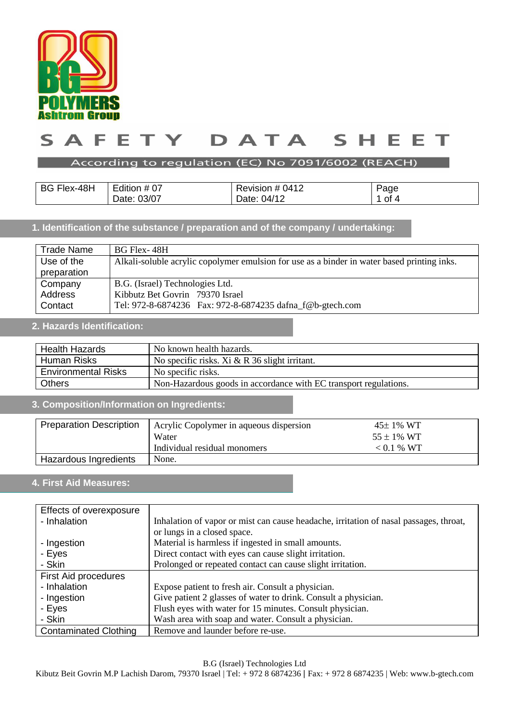

### $\blacktriangle$ TY T DATA  $\mathsf{s}$ E E.  $\mathsf{S}$ н. Е E т

## According to regulation (EC) No 7091/6002 (REACH)

| BG Flex-48H | .<br>Edition # 07 | Revision # 0412 | Page |
|-------------|-------------------|-----------------|------|
|             | 03/07<br>Date:    | 04/12<br>Date:  | ot 4 |

## **1. Identification of the substance / preparation and of the company / undertaking:**

| <b>Trade Name</b> | BG Flex-48H                                                                                 |  |
|-------------------|---------------------------------------------------------------------------------------------|--|
| Use of the        | Alkali-soluble acrylic copolymer emulsion for use as a binder in water based printing inks. |  |
| preparation       |                                                                                             |  |
| Company           | B.G. (Israel) Technologies Ltd.                                                             |  |
| Address           | Kibbutz Bet Govrin 79370 Israel                                                             |  |
| Contact           | Tel: 972-8-6874236  Fax: 972-8-6874235 dafna_f@b-gtech.com                                  |  |

# **2. Hazards Identification:**

| <b>Health Hazards</b><br>No known health hazards. |                                                                  |  |
|---------------------------------------------------|------------------------------------------------------------------|--|
| Human Risks                                       | No specific risks. Xi $& R$ 36 slight irritant.                  |  |
| <b>Environmental Risks</b>                        | No specific risks.                                               |  |
| <b>Others</b>                                     | Non-Hazardous goods in accordance with EC transport regulations. |  |

# **3. Composition/Information on Ingredients:**

| <b>Preparation Description</b> | Acrylic Copolymer in aqueous dispersion | $45 \pm 1\%$ WT |
|--------------------------------|-----------------------------------------|-----------------|
|                                | Water                                   | $55 \pm 1\%$ WT |
|                                | Individual residual monomers            | $< 0.1 %$ WT    |
| Hazardous Ingredients          | None.                                   |                 |

# **4. First Aid Measures:**

| Effects of overexposure      |                                                                                       |
|------------------------------|---------------------------------------------------------------------------------------|
| - Inhalation                 | Inhalation of vapor or mist can cause headache, irritation of nasal passages, throat, |
|                              | or lungs in a closed space.                                                           |
| - Ingestion                  | Material is harmless if ingested in small amounts.                                    |
| - Eyes                       | Direct contact with eyes can cause slight irritation.                                 |
| - Skin                       | Prolonged or repeated contact can cause slight irritation.                            |
| First Aid procedures         |                                                                                       |
| - Inhalation                 | Expose patient to fresh air. Consult a physician.                                     |
| - Ingestion                  | Give patient 2 glasses of water to drink. Consult a physician.                        |
| - Eyes                       | Flush eyes with water for 15 minutes. Consult physician.                              |
| - Skin                       | Wash area with soap and water. Consult a physician.                                   |
| <b>Contaminated Clothing</b> | Remove and launder before re-use.                                                     |

B.G (Israel) Technologies Ltd

Kibutz Beit Govrin M.P Lachish Darom, 79370 Israel | Tel: + 972 8 6874236 | Fax: + 972 8 6874235 | Web: www.b-gtech.com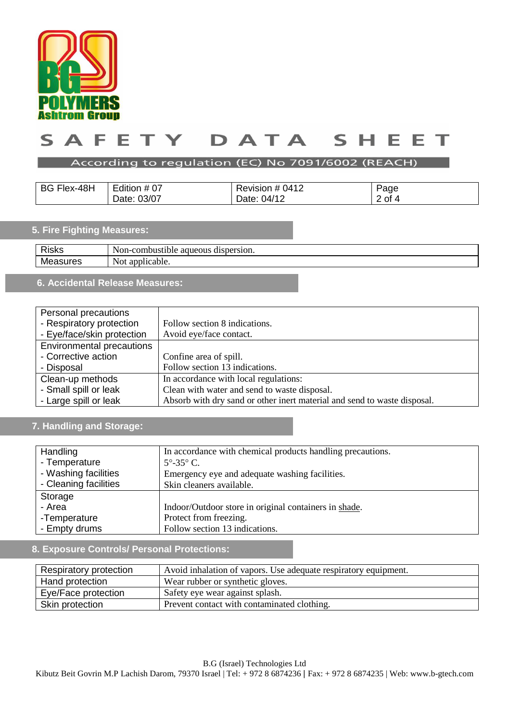

### TY DATA  $\mathsf{s}$ A F E.  $\mathsf{S}$ н. Е E т

## According to regulation (EC) No 7091/6002 (REACH)

| <b>BG Flex-48H</b> | Edition # 07 | Revision # 0412 | Page   |
|--------------------|--------------|-----------------|--------|
|                    | Date: 03/07  | Date: 04/12     | 2 of 4 |

# **5. Fire Fighting Measures:**

| <b>Risks</b> | Non-c<br>dispersion.<br>-combustible-<br>aqueous |
|--------------|--------------------------------------------------|
| Мc<br>162    | $\alpha$<br>plicable.<br>Not<br>ai               |
|              |                                                  |

# **6. Accidental Release Measures:**

| Personal precautions             |                                                                          |
|----------------------------------|--------------------------------------------------------------------------|
| - Respiratory protection         | Follow section 8 indications.                                            |
| - Eye/face/skin protection       | Avoid eye/face contact.                                                  |
| <b>Environmental precautions</b> |                                                                          |
| - Corrective action              | Confine area of spill.                                                   |
| - Disposal                       | Follow section 13 indications.                                           |
| Clean-up methods                 | In accordance with local regulations:                                    |
| - Small spill or leak            | Clean with water and send to waste disposal.                             |
| - Large spill or leak            | Absorb with dry sand or other inert material and send to waste disposal. |

# **7. Handling and Storage:**

| Handling              | In accordance with chemical products handling precautions. |
|-----------------------|------------------------------------------------------------|
| - Temperature         | $5^{\circ}$ -35 $^{\circ}$ C.                              |
| - Washing facilities  | Emergency eye and adequate washing facilities.             |
| - Cleaning facilities | Skin cleaners available.                                   |
| Storage               |                                                            |
| - Area                | Indoor/Outdoor store in original containers in shade.      |
| -Temperature          | Protect from freezing.                                     |
| - Empty drums         | Follow section 13 indications.                             |

## **8. Exposure Controls/ Personal Protections:**

| Respiratory protection | Avoid inhalation of vapors. Use adequate respiratory equipment. |  |
|------------------------|-----------------------------------------------------------------|--|
| Hand protection        | Wear rubber or synthetic gloves.                                |  |
| Eye/Face protection    | Safety eye wear against splash.                                 |  |
| Skin protection        | Prevent contact with contaminated clothing.                     |  |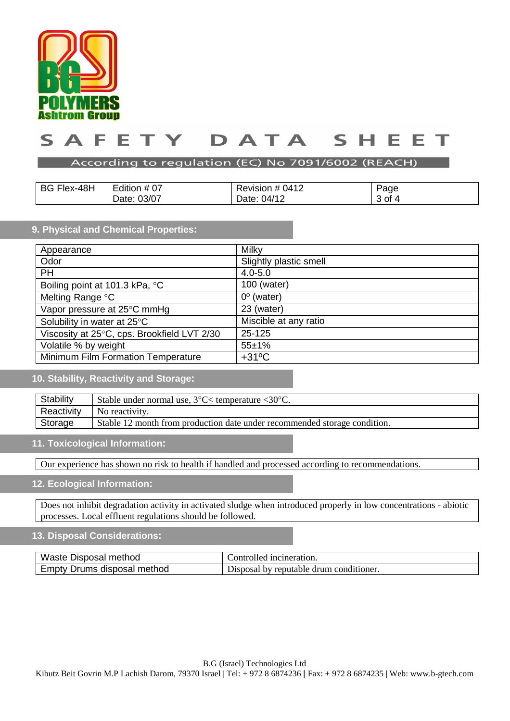

### DATA F F T Y I ς  $\blacktriangle$ ς E E

### According to regulation (EC) No 7091/6002 (REACH)

| <b>BG Flex-48H</b> | Edition # 07 | Revision # 0412 | Page   |
|--------------------|--------------|-----------------|--------|
|                    | Date: 03/07  | Date: 04/12     | 3 of 4 |

## **9. Physical and Chemical Properties:**

| Appearance                                  | <b>Milky</b>           |
|---------------------------------------------|------------------------|
| Odor                                        | Slightly plastic smell |
| <b>PH</b>                                   | $4.0 - 5.0$            |
| Boiling point at 101.3 kPa, °C              | 100 (water)            |
| Melting Range °C                            | $0^{\circ}$ (water)    |
| Vapor pressure at 25°C mmHg                 | 23 (water)             |
| Solubility in water at 25°C                 | Miscible at any ratio  |
| Viscosity at 25°C, cps. Brookfield LVT 2/30 | 25-125                 |
| Volatile % by weight                        | $55 + 1%$              |
| Minimum Film Formation Temperature          | $+31^{\circ}$ C        |

## **10. Stability, Reactivity and Storage:**

| Stability  | Stable under normal use, $3^{\circ}$ C $\lt$ temperature $\lt 30^{\circ}$ C. |  |
|------------|------------------------------------------------------------------------------|--|
| Reactivity | No reactivity.                                                               |  |
| Storage    | Stable 12 month from production date under recommended storage condition.    |  |

## **11. Toxicological Information:**

Our experience has shown no risk to health if handled and processed according to recommendations.

## **12. Ecological Information:**

Does not inhibit degradation activity in activated sludge when introduced properly in low concentrations - abiotic processes. Local effluent regulations should be followed.

## **13. Disposal Considerations:**

| Waste Disposal method       | Controlled incineration.                |  |
|-----------------------------|-----------------------------------------|--|
| Empty Drums disposal method | Disposal by reputable drum conditioner. |  |